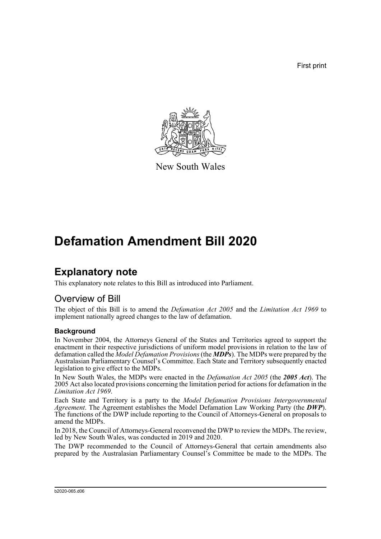First print



New South Wales

# **Defamation Amendment Bill 2020**

# **Explanatory note**

This explanatory note relates to this Bill as introduced into Parliament.

## Overview of Bill

The object of this Bill is to amend the *Defamation Act 2005* and the *Limitation Act 1969* to implement nationally agreed changes to the law of defamation.

### **Background**

In November 2004, the Attorneys General of the States and Territories agreed to support the enactment in their respective jurisdictions of uniform model provisions in relation to the law of defamation called the *Model Defamation Provisions* (the *MDPs*). The MDPs were prepared by the Australasian Parliamentary Counsel's Committee. Each State and Territory subsequently enacted legislation to give effect to the MDPs.

In New South Wales, the MDPs were enacted in the *Defamation Act 2005* (the *2005 Act*). The 2005 Act also located provisions concerning the limitation period for actions for defamation in the *Limitation Act 1969*.

Each State and Territory is a party to the *Model Defamation Provisions Intergovernmental Agreement*. The Agreement establishes the Model Defamation Law Working Party (the *DWP*). The functions of the DWP include reporting to the Council of Attorneys-General on proposals to amend the MDPs.

In 2018, the Council of Attorneys-General reconvened the DWP to review the MDPs. The review, led by New South Wales, was conducted in 2019 and 2020.

The DWP recommended to the Council of Attorneys-General that certain amendments also prepared by the Australasian Parliamentary Counsel's Committee be made to the MDPs. The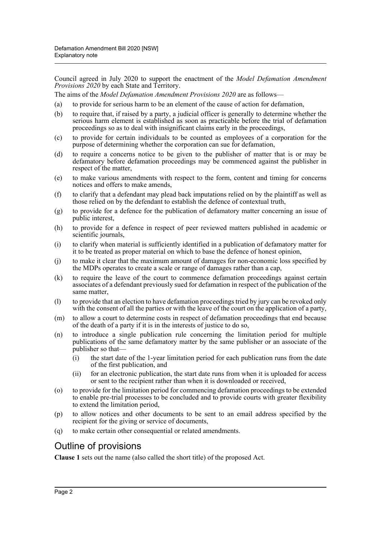Council agreed in July 2020 to support the enactment of the *Model Defamation Amendment Provisions 2020* by each State and Territory.

The aims of the *Model Defamation Amendment Provisions 2020* are as follows—

- (a) to provide for serious harm to be an element of the cause of action for defamation,
- (b) to require that, if raised by a party, a judicial officer is generally to determine whether the serious harm element is established as soon as practicable before the trial of defamation proceedings so as to deal with insignificant claims early in the proceedings,
- (c) to provide for certain individuals to be counted as employees of a corporation for the purpose of determining whether the corporation can sue for defamation,
- (d) to require a concerns notice to be given to the publisher of matter that is or may be defamatory before defamation proceedings may be commenced against the publisher in respect of the matter,
- (e) to make various amendments with respect to the form, content and timing for concerns notices and offers to make amends,
- (f) to clarify that a defendant may plead back imputations relied on by the plaintiff as well as those relied on by the defendant to establish the defence of contextual truth,
- (g) to provide for a defence for the publication of defamatory matter concerning an issue of public interest,
- (h) to provide for a defence in respect of peer reviewed matters published in academic or scientific journals,
- (i) to clarify when material is sufficiently identified in a publication of defamatory matter for it to be treated as proper material on which to base the defence of honest opinion,
- (j) to make it clear that the maximum amount of damages for non-economic loss specified by the MDPs operates to create a scale or range of damages rather than a cap,
- (k) to require the leave of the court to commence defamation proceedings against certain associates of a defendant previously sued for defamation in respect of the publication of the same matter,
- (l) to provide that an election to have defamation proceedings tried by jury can be revoked only with the consent of all the parties or with the leave of the court on the application of a party,
- (m) to allow a court to determine costs in respect of defamation proceedings that end because of the death of a party if it is in the interests of justice to do so,
- (n) to introduce a single publication rule concerning the limitation period for multiple publications of the same defamatory matter by the same publisher or an associate of the publisher so that—
	- (i) the start date of the 1-year limitation period for each publication runs from the date of the first publication, and
	- (ii) for an electronic publication, the start date runs from when it is uploaded for access or sent to the recipient rather than when it is downloaded or received,
- (o) to provide for the limitation period for commencing defamation proceedings to be extended to enable pre-trial processes to be concluded and to provide courts with greater flexibility to extend the limitation period,
- (p) to allow notices and other documents to be sent to an email address specified by the recipient for the giving or service of documents,
- (q) to make certain other consequential or related amendments.

### Outline of provisions

**Clause 1** sets out the name (also called the short title) of the proposed Act.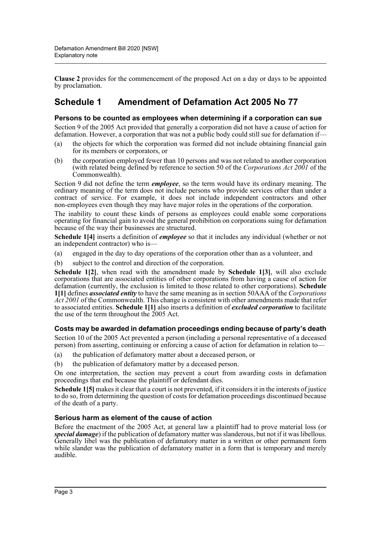**Clause 2** provides for the commencement of the proposed Act on a day or days to be appointed by proclamation.

### **Schedule 1 Amendment of Defamation Act 2005 No 77**

### **Persons to be counted as employees when determining if a corporation can sue**

Section 9 of the 2005 Act provided that generally a corporation did not have a cause of action for defamation. However, a corporation that was not a public body could still sue for defamation if—

- (a) the objects for which the corporation was formed did not include obtaining financial gain for its members or corporators, or
- (b) the corporation employed fewer than 10 persons and was not related to another corporation (with related being defined by reference to section 50 of the *Corporations Act 2001* of the Commonwealth).

Section 9 did not define the term *employee*, so the term would have its ordinary meaning. The ordinary meaning of the term does not include persons who provide services other than under a contract of service. For example, it does not include independent contractors and other non-employees even though they may have major roles in the operations of the corporation.

The inability to count these kinds of persons as employees could enable some corporations operating for financial gain to avoid the general prohibition on corporations suing for defamation because of the way their businesses are structured.

**Schedule 1[4]** inserts a definition of *employee* so that it includes any individual (whether or not an independent contractor) who is—

- (a) engaged in the day to day operations of the corporation other than as a volunteer, and
- (b) subject to the control and direction of the corporation.

**Schedule 1[2]**, when read with the amendment made by **Schedule 1[3]**, will also exclude corporations that are associated entities of other corporations from having a cause of action for defamation (currently, the exclusion is limited to those related to other corporations). **Schedule 1[1]** defines *associated entity* to have the same meaning as in section 50AAA of the *Corporations Act 2001* of the Commonwealth. This change is consistent with other amendments made that refer to associated entities. **Schedule 1[1]** also inserts a definition of *excluded corporation* to facilitate the use of the term throughout the 2005 Act.

### **Costs may be awarded in defamation proceedings ending because of party's death**

Section 10 of the 2005 Act prevented a person (including a personal representative of a deceased person) from asserting, continuing or enforcing a cause of action for defamation in relation to—

- (a) the publication of defamatory matter about a deceased person, or
- (b) the publication of defamatory matter by a deceased person.

On one interpretation, the section may prevent a court from awarding costs in defamation proceedings that end because the plaintiff or defendant dies.

**Schedule 1[5]** makes it clear that a court is not prevented, if it considers it in the interests of justice to do so, from determining the question of costs for defamation proceedings discontinued because of the death of a party.

### **Serious harm as element of the cause of action**

Before the enactment of the 2005 Act, at general law a plaintiff had to prove material loss (or *special damage*) if the publication of defamatory matter was slanderous, but not if it was libellous. Generally libel was the publication of defamatory matter in a written or other permanent form while slander was the publication of defamatory matter in a form that is temporary and merely audible.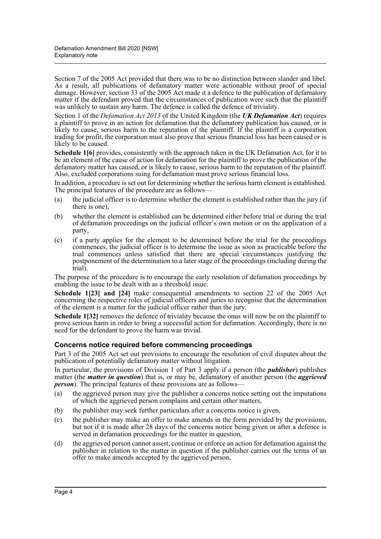Section 7 of the 2005 Act provided that there was to be no distinction between slander and libel. As a result, all publications of defamatory matter were actionable without proof of special damage. However, section 33 of the 2005 Act made it a defence to the publication of defamatory matter if the defendant proved that the circumstances of publication were such that the plaintiff was unlikely to sustain any harm. The defence is called the defence of triviality.

Section 1 of the *Defamation Act 2013* of the United Kingdom (the *UK Defamation Act*) requires a plaintiff to prove in an action for defamation that the defamatory publication has caused, or is likely to cause, serious harm to the reputation of the plaintiff. If the plaintiff is a corporation trading for profit, the corporation must also prove that serious financial loss has been caused or is likely to be caused.

**Schedule 1[6]** provides, consistently with the approach taken in the UK Defamation Act, for it to be an element of the cause of action for defamation for the plaintiff to prove the publication of the defamatory matter has caused, or is likely to cause, serious harm to the reputation of the plaintiff. Also, excluded corporations suing for defamation must prove serious financial loss.

In addition, a procedure is set out for determining whether the serious harm element is established. The principal features of the procedure are as follows—

- (a) the judicial officer is to determine whether the element is established rather than the jury (if there is one),
- (b) whether the element is established can be determined either before trial or during the trial of defamation proceedings on the judicial officer's own motion or on the application of a party,
- (c) if a party applies for the element to be determined before the trial for the proceedings commences, the judicial officer is to determine the issue as soon as practicable before the trial commences unless satisfied that there are special circumstances justifying the postponement of the determination to a later stage of the proceedings (including during the trial).

The purpose of the procedure is to encourage the early resolution of defamation proceedings by enabling the issue to be dealt with as a threshold issue.

**Schedule 1[23] and [24]** make consequential amendments to section 22 of the 2005 Act concerning the respective roles of judicial officers and juries to recognise that the determination of the element is a matter for the judicial officer rather than the jury.

**Schedule 1[32]** removes the defence of triviality because the onus will now be on the plaintiff to prove serious harm in order to bring a successful action for defamation. Accordingly, there is no need for the defendant to prove the harm was trivial.

### **Concerns notice required before commencing proceedings**

Part 3 of the 2005 Act set out provisions to encourage the resolution of civil disputes about the publication of potentially defamatory matter without litigation.

In particular, the provisions of Division 1 of Part 3 apply if a person (the *publisher*) publishes matter (the *matter in question*) that is, or may be, defamatory of another person (the *aggrieved person*). The principal features of these provisions are as follows—

- (a) the aggrieved person may give the publisher a concerns notice setting out the imputations of which the aggrieved person complains and certain other matters,
- (b) the publisher may seek further particulars after a concerns notice is given,
- (c) the publisher may make an offer to make amends in the form provided by the provisions, but not if it is made after 28 days of the concerns notice being given or after a defence is served in defamation proceedings for the matter in question,
- (d) the aggrieved person cannot assert, continue or enforce an action for defamation against the publisher in relation to the matter in question if the publisher carries out the terms of an offer to make amends accepted by the aggrieved person,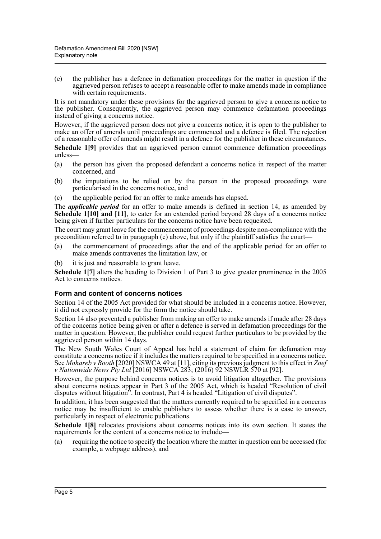(e) the publisher has a defence in defamation proceedings for the matter in question if the aggrieved person refuses to accept a reasonable offer to make amends made in compliance with certain requirements.

It is not mandatory under these provisions for the aggrieved person to give a concerns notice to the publisher. Consequently, the aggrieved person may commence defamation proceedings instead of giving a concerns notice.

However, if the aggrieved person does not give a concerns notice, it is open to the publisher to make an offer of amends until proceedings are commenced and a defence is filed. The rejection of a reasonable offer of amends might result in a defence for the publisher in these circumstances.

**Schedule 1[9]** provides that an aggrieved person cannot commence defamation proceedings unless—

- (a) the person has given the proposed defendant a concerns notice in respect of the matter concerned, and
- (b) the imputations to be relied on by the person in the proposed proceedings were particularised in the concerns notice, and
- (c) the applicable period for an offer to make amends has elapsed.

The *applicable period* for an offer to make amends is defined in section 14, as amended by **Schedule 1[10] and [11]**, to cater for an extended period beyond 28 days of a concerns notice being given if further particulars for the concerns notice have been requested.

The court may grant leave for the commencement of proceedings despite non-compliance with the precondition referred to in paragraph (c) above, but only if the plaintiff satisfies the court—

(a) the commencement of proceedings after the end of the applicable period for an offer to make amends contravenes the limitation law, or

(b) it is just and reasonable to grant leave.

**Schedule 1[7]** alters the heading to Division 1 of Part 3 to give greater prominence in the 2005 Act to concerns notices.

### **Form and content of concerns notices**

Section 14 of the 2005 Act provided for what should be included in a concerns notice. However, it did not expressly provide for the form the notice should take.

Section 14 also prevented a publisher from making an offer to make amends if made after 28 days of the concerns notice being given or after a defence is served in defamation proceedings for the matter in question. However, the publisher could request further particulars to be provided by the aggrieved person within 14 days.

The New South Wales Court of Appeal has held a statement of claim for defamation may constitute a concerns notice if it includes the matters required to be specified in a concerns notice. See *Mohareb v Booth* [2020] NSWCA 49 at [11], citing its previous judgment to this effect in *Zoef v Nationwide News Pty Ltd* [2016] NSWCA 283; (2016) 92 NSWLR 570 at [92].

However, the purpose behind concerns notices is to avoid litigation altogether. The provisions about concerns notices appear in Part 3 of the 2005 Act, which is headed "Resolution of civil disputes without litigation<sup>3</sup>. In contrast, Part 4 is headed "Litigation of civil disputes".

In addition, it has been suggested that the matters currently required to be specified in a concerns notice may be insufficient to enable publishers to assess whether there is a case to answer, particularly in respect of electronic publications.

**Schedule 1[8]** relocates provisions about concerns notices into its own section. It states the requirements for the content of a concerns notice to include—

(a) requiring the notice to specify the location where the matter in question can be accessed (for example, a webpage address), and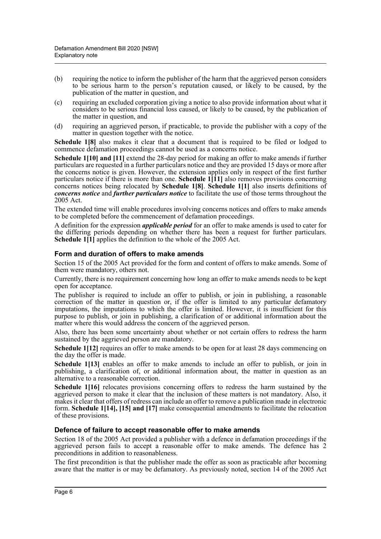- (b) requiring the notice to inform the publisher of the harm that the aggrieved person considers to be serious harm to the person's reputation caused, or likely to be caused, by the publication of the matter in question, and
- (c) requiring an excluded corporation giving a notice to also provide information about what it considers to be serious financial loss caused, or likely to be caused, by the publication of the matter in question, and
- (d) requiring an aggrieved person, if practicable, to provide the publisher with a copy of the matter in question together with the notice.

**Schedule 1[8]** also makes it clear that a document that is required to be filed or lodged to commence defamation proceedings cannot be used as a concerns notice.

**Schedule 1[10] and [11]** extend the 28-day period for making an offer to make amends if further particulars are requested in a further particulars notice and they are provided 15 days or more after the concerns notice is given. However, the extension applies only in respect of the first further particulars notice if there is more than one. **Schedule 1[11]** also removes provisions concerning concerns notices being relocated by **Schedule 1[8]**. **Schedule 1[1]** also inserts definitions of *concerns notice* and *further particulars notice* to facilitate the use of those terms throughout the 2005 Act.

The extended time will enable procedures involving concerns notices and offers to make amends to be completed before the commencement of defamation proceedings.

A definition for the expression *applicable period* for an offer to make amends is used to cater for the differing periods depending on whether there has been a request for further particulars. **Schedule 1<sup>[1]</sup>** applies the definition to the whole of the 2005 Act.

### **Form and duration of offers to make amends**

Section 15 of the 2005 Act provided for the form and content of offers to make amends. Some of them were mandatory, others not.

Currently, there is no requirement concerning how long an offer to make amends needs to be kept open for acceptance.

The publisher is required to include an offer to publish, or join in publishing, a reasonable correction of the matter in question or, if the offer is limited to any particular defamatory imputations, the imputations to which the offer is limited. However, it is insufficient for this purpose to publish, or join in publishing, a clarification of or additional information about the matter where this would address the concern of the aggrieved person.

Also, there has been some uncertainty about whether or not certain offers to redress the harm sustained by the aggrieved person are mandatory.

**Schedule 1[12]** requires an offer to make amends to be open for at least 28 days commencing on the day the offer is made.

**Schedule 1[13]** enables an offer to make amends to include an offer to publish, or join in publishing, a clarification of, or additional information about, the matter in question as an alternative to a reasonable correction.

**Schedule 1[16]** relocates provisions concerning offers to redress the harm sustained by the aggrieved person to make it clear that the inclusion of these matters is not mandatory. Also, it makes it clear that offers of redress can include an offer to remove a publication made in electronic form. **Schedule 1[14], [15] and [17]** make consequential amendments to facilitate the relocation of these provisions.

### **Defence of failure to accept reasonable offer to make amends**

Section 18 of the 2005 Act provided a publisher with a defence in defamation proceedings if the aggrieved person fails to accept a reasonable offer to make amends. The defence has 2 preconditions in addition to reasonableness.

The first precondition is that the publisher made the offer as soon as practicable after becoming aware that the matter is or may be defamatory. As previously noted, section 14 of the 2005 Act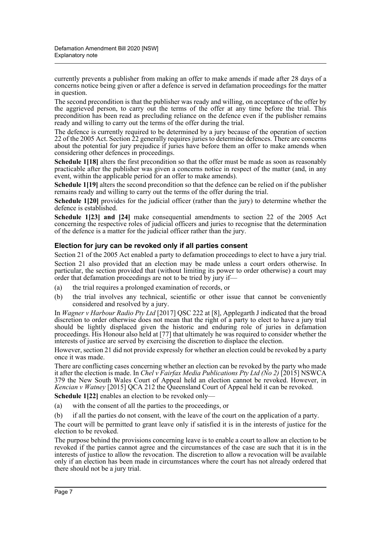currently prevents a publisher from making an offer to make amends if made after 28 days of a concerns notice being given or after a defence is served in defamation proceedings for the matter in question.

The second precondition is that the publisher was ready and willing, on acceptance of the offer by the aggrieved person, to carry out the terms of the offer at any time before the trial. This precondition has been read as precluding reliance on the defence even if the publisher remains ready and willing to carry out the terms of the offer during the trial.

The defence is currently required to be determined by a jury because of the operation of section 22 of the 2005 Act. Section 22 generally requires juries to determine defences. There are concerns about the potential for jury prejudice if juries have before them an offer to make amends when considering other defences in proceedings.

**Schedule 1[18]** alters the first precondition so that the offer must be made as soon as reasonably practicable after the publisher was given a concerns notice in respect of the matter (and, in any event, within the applicable period for an offer to make amends).

**Schedule 1[19]** alters the second precondition so that the defence can be relied on if the publisher remains ready and willing to carry out the terms of the offer during the trial.

**Schedule 1[20]** provides for the judicial officer (rather than the jury) to determine whether the defence is established.

**Schedule 1[23] and [24]** make consequential amendments to section 22 of the 2005 Act concerning the respective roles of judicial officers and juries to recognise that the determination of the defence is a matter for the judicial officer rather than the jury.

### **Election for jury can be revoked only if all parties consent**

Section 21 of the 2005 Act enabled a party to defamation proceedings to elect to have a jury trial. Section 21 also provided that an election may be made unless a court orders otherwise. In particular, the section provided that (without limiting its power to order otherwise) a court may order that defamation proceedings are not to be tried by jury if—

- (a) the trial requires a prolonged examination of records, or
- (b) the trial involves any technical, scientific or other issue that cannot be conveniently considered and resolved by a jury.

In *Wagner v Harbour Radio Pty Ltd* [2017] QSC 222 at [8], Applegarth J indicated that the broad discretion to order otherwise does not mean that the right of a party to elect to have a jury trial should be lightly displaced given the historic and enduring role of juries in defamation proceedings. His Honour also held at [77] that ultimately he was required to consider whether the interests of justice are served by exercising the discretion to displace the election.

However, section 21 did not provide expressly for whether an election could be revoked by a party once it was made.

There are conflicting cases concerning whether an election can be revoked by the party who made it after the election is made. In *Chel v Fairfax Media Publications Pty Ltd (No 2)* [2015] NSWCA 379 the New South Wales Court of Appeal held an election cannot be revoked. However, in *Kencian v Watney* [2015] QCA 212 the Queensland Court of Appeal held it can be revoked.

**Schedule 1[22]** enables an election to be revoked only—

- (a) with the consent of all the parties to the proceedings, or
- (b) if all the parties do not consent, with the leave of the court on the application of a party.

The court will be permitted to grant leave only if satisfied it is in the interests of justice for the election to be revoked.

The purpose behind the provisions concerning leave is to enable a court to allow an election to be revoked if the parties cannot agree and the circumstances of the case are such that it is in the interests of justice to allow the revocation. The discretion to allow a revocation will be available only if an election has been made in circumstances where the court has not already ordered that there should not be a jury trial.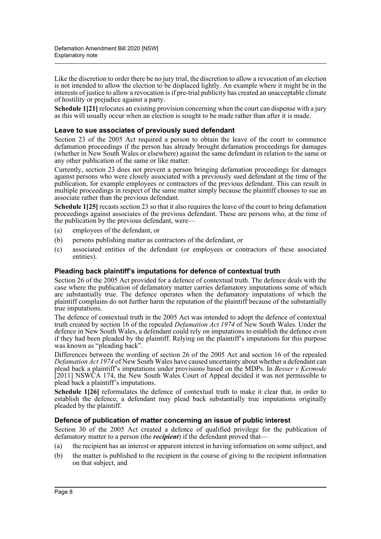Like the discretion to order there be no jury trial, the discretion to allow a revocation of an election is not intended to allow the election to be displaced lightly. An example where it might be in the interests of justice to allow a revocation is if pre-trial publicity has created an unacceptable climate of hostility or prejudice against a party.

**Schedule 1[21]** relocates an existing provision concerning when the court can dispense with a jury as this will usually occur when an election is sought to be made rather than after it is made.

### **Leave to sue associates of previously sued defendant**

Section 23 of the 2005 Act required a person to obtain the leave of the court to commence defamation proceedings if the person has already brought defamation proceedings for damages (whether in New South Wales or elsewhere) against the same defendant in relation to the same or any other publication of the same or like matter.

Currently, section 23 does not prevent a person bringing defamation proceedings for damages against persons who were closely associated with a previously sued defendant at the time of the publication, for example employees or contractors of the previous defendant. This can result in multiple proceedings in respect of the same matter simply because the plaintiff chooses to sue an associate rather than the previous defendant.

**Schedule 1[25]** recasts section 23 so that it also requires the leave of the court to bring defamation proceedings against associates of the previous defendant. These are persons who, at the time of the publication by the previous defendant, were—

- (a) employees of the defendant, or
- (b) persons publishing matter as contractors of the defendant, or
- (c) associated entities of the defendant (or employees or contractors of these associated entities).

### **Pleading back plaintiff's imputations for defence of contextual truth**

Section 26 of the 2005 Act provided for a defence of contextual truth. The defence deals with the case where the publication of defamatory matter carries defamatory imputations some of which are substantially true. The defence operates when the defamatory imputations of which the plaintiff complains do not further harm the reputation of the plaintiff because of the substantially true imputations.

The defence of contextual truth in the 2005 Act was intended to adopt the defence of contextual truth created by section 16 of the repealed *Defamation Act 1974* of New South Wales. Under the defence in New South Wales, a defendant could rely on imputations to establish the defence even if they had been pleaded by the plaintiff. Relying on the plaintiff's imputations for this purpose was known as "pleading back".

Differences between the wording of section 26 of the 2005 Act and section 16 of the repealed *Defamation Act 1974* of New South Wales have caused uncertainty about whether a defendant can plead back a plaintiff's imputations under provisions based on the MDPs. In *Besser v Kermode* [2011] NSWCA 174, the New South Wales Court of Appeal decided it was not permissible to plead back a plaintiff's imputations.

**Schedule 1[26]** reformulates the defence of contextual truth to make it clear that, in order to establish the defence, a defendant may plead back substantially true imputations originally pleaded by the plaintiff.

### **Defence of publication of matter concerning an issue of public interest**

Section 30 of the 2005 Act created a defence of qualified privilege for the publication of defamatory matter to a person (the *recipient*) if the defendant proved that—

- (a) the recipient has an interest or apparent interest in having information on some subject, and
- (b) the matter is published to the recipient in the course of giving to the recipient information on that subject, and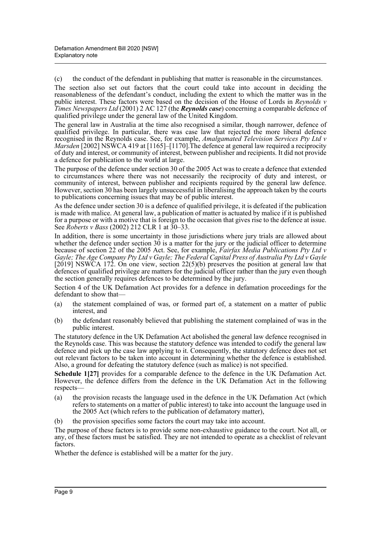(c) the conduct of the defendant in publishing that matter is reasonable in the circumstances.

The section also set out factors that the court could take into account in deciding the reasonableness of the defendant's conduct, including the extent to which the matter was in the public interest. These factors were based on the decision of the House of Lords in *Reynolds v Times Newspapers Ltd* (2001) 2 AC 127 (the *Reynolds case*) concerning a comparable defence of qualified privilege under the general law of the United Kingdom.

The general law in Australia at the time also recognised a similar, though narrower, defence of qualified privilege. In particular, there was case law that rejected the more liberal defence recognised in the Reynolds case. See, for example, *Amalgamated Television Services Pty Ltd v Marsden* [2002] NSWCA 419 at [1165]–[1170]. The defence at general law required a reciprocity of duty and interest, or community of interest, between publisher and recipients. It did not provide a defence for publication to the world at large.

The purpose of the defence under section 30 of the 2005 Act was to create a defence that extended to circumstances where there was not necessarily the reciprocity of duty and interest, or community of interest, between publisher and recipients required by the general law defence. However, section 30 has been largely unsuccessful in liberalising the approach taken by the courts to publications concerning issues that may be of public interest.

As the defence under section 30 is a defence of qualified privilege, it is defeated if the publication is made with malice. At general law, a publication of matter is actuated by malice if it is published for a purpose or with a motive that is foreign to the occasion that gives rise to the defence at issue. See *Roberts v Bass* (2002) 212 CLR 1 at 30–33.

In addition, there is some uncertainty in those jurisdictions where jury trials are allowed about whether the defence under section  $30$  is a matter for the jury or the judicial officer to determine because of section 22 of the 2005 Act. See, for example, *Fairfax Media Publications Pty Ltd v Gayle; The Age Company Pty Ltd v Gayle; The Federal Capital Press of Australia Pty Ltd v Gayle* [2019] NSWCA 172. On one view, section 22(5)(b) preserves the position at general law that defences of qualified privilege are matters for the judicial officer rather than the jury even though the section generally requires defences to be determined by the jury.

Section 4 of the UK Defamation Act provides for a defence in defamation proceedings for the defendant to show that—

- (a) the statement complained of was, or formed part of, a statement on a matter of public interest, and
- (b) the defendant reasonably believed that publishing the statement complained of was in the public interest.

The statutory defence in the UK Defamation Act abolished the general law defence recognised in the Reynolds case. This was because the statutory defence was intended to codify the general law defence and pick up the case law applying to it. Consequently, the statutory defence does not set out relevant factors to be taken into account in determining whether the defence is established. Also, a ground for defeating the statutory defence (such as malice) is not specified.

**Schedule 1[27]** provides for a comparable defence to the defence in the UK Defamation Act. However, the defence differs from the defence in the UK Defamation Act in the following respects—

- (a) the provision recasts the language used in the defence in the UK Defamation Act (which refers to statements on a matter of public interest) to take into account the language used in the 2005 Act (which refers to the publication of defamatory matter),
- (b) the provision specifies some factors the court may take into account.

The purpose of these factors is to provide some non-exhaustive guidance to the court. Not all, or any, of these factors must be satisfied. They are not intended to operate as a checklist of relevant factors.

Whether the defence is established will be a matter for the jury.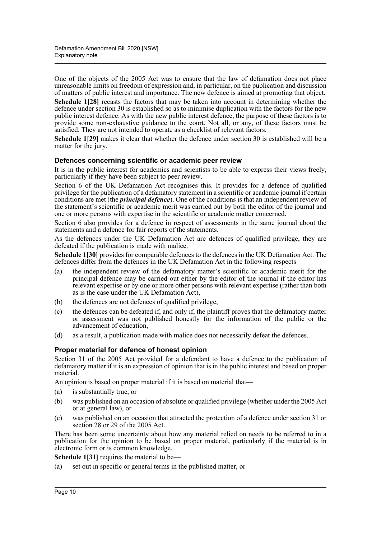One of the objects of the 2005 Act was to ensure that the law of defamation does not place unreasonable limits on freedom of expression and, in particular, on the publication and discussion of matters of public interest and importance. The new defence is aimed at promoting that object.

**Schedule 1[28]** recasts the factors that may be taken into account in determining whether the defence under section 30 is established so as to minimise duplication with the factors for the new public interest defence. As with the new public interest defence, the purpose of these factors is to provide some non-exhaustive guidance to the court. Not all, or any, of these factors must be satisfied. They are not intended to operate as a checklist of relevant factors.

**Schedule 1[29]** makes it clear that whether the defence under section 30 is established will be a matter for the jury.

### **Defences concerning scientific or academic peer review**

It is in the public interest for academics and scientists to be able to express their views freely, particularly if they have been subject to peer review.

Section 6 of the UK Defamation Act recognises this. It provides for a defence of qualified privilege for the publication of a defamatory statement in a scientific or academic journal if certain conditions are met (the *principal defence*). One of the conditions is that an independent review of the statement's scientific or academic merit was carried out by both the editor of the journal and one or more persons with expertise in the scientific or academic matter concerned.

Section 6 also provides for a defence in respect of assessments in the same journal about the statements and a defence for fair reports of the statements.

As the defences under the UK Defamation Act are defences of qualified privilege, they are defeated if the publication is made with malice.

**Schedule 1[30]** provides for comparable defences to the defences in the UK Defamation Act. The defences differ from the defences in the UK Defamation Act in the following respects—

- (a) the independent review of the defamatory matter's scientific or academic merit for the principal defence may be carried out either by the editor of the journal if the editor has relevant expertise or by one or more other persons with relevant expertise (rather than both as is the case under the UK Defamation Act),
- (b) the defences are not defences of qualified privilege,
- (c) the defences can be defeated if, and only if, the plaintiff proves that the defamatory matter or assessment was not published honestly for the information of the public or the advancement of education,
- (d) as a result, a publication made with malice does not necessarily defeat the defences.

### **Proper material for defence of honest opinion**

Section 31 of the 2005 Act provided for a defendant to have a defence to the publication of defamatory matter if it is an expression of opinion that is in the public interest and based on proper material.

An opinion is based on proper material if it is based on material that—

- (a) is substantially true, or
- (b) was published on an occasion of absolute or qualified privilege (whether under the 2005 Act or at general law), or
- (c) was published on an occasion that attracted the protection of a defence under section 31 or section 28 or 29 of the 2005 Act.

There has been some uncertainty about how any material relied on needs to be referred to in a publication for the opinion to be based on proper material, particularly if the material is in electronic form or is common knowledge.

**Schedule 1[31]** requires the material to be—

(a) set out in specific or general terms in the published matter, or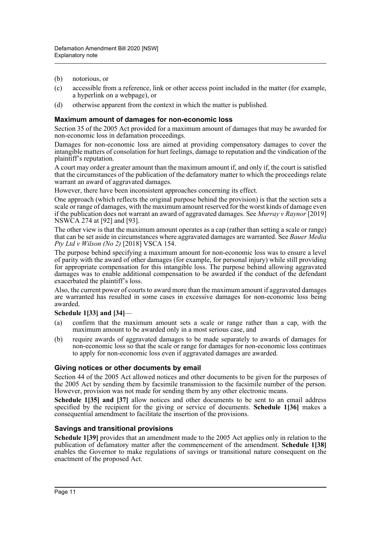- (b) notorious, or
- (c) accessible from a reference, link or other access point included in the matter (for example, a hyperlink on a webpage), or
- (d) otherwise apparent from the context in which the matter is published.

### **Maximum amount of damages for non-economic loss**

Section 35 of the 2005 Act provided for a maximum amount of damages that may be awarded for non-economic loss in defamation proceedings.

Damages for non-economic loss are aimed at providing compensatory damages to cover the intangible matters of consolation for hurt feelings, damage to reputation and the vindication of the plaintiff's reputation.

A court may order a greater amount than the maximum amount if, and only if, the court is satisfied that the circumstances of the publication of the defamatory matter to which the proceedings relate warrant an award of aggravated damages.

However, there have been inconsistent approaches concerning its effect.

One approach (which reflects the original purpose behind the provision) is that the section sets a scale or range of damages, with the maximum amount reserved for the worst kinds of damage even if the publication does not warrant an award of aggravated damages. See *Murray v Raynor* [2019] NSWCA 274 at [92] and [93].

The other view is that the maximum amount operates as a cap (rather than setting a scale or range) that can be set aside in circumstances where aggravated damages are warranted. See *Bauer Media Pty Ltd v Wilson (No 2)* [2018] VSCA 154.

The purpose behind specifying a maximum amount for non-economic loss was to ensure a level of parity with the award of other damages (for example, for personal injury) while still providing for appropriate compensation for this intangible loss. The purpose behind allowing aggravated damages was to enable additional compensation to be awarded if the conduct of the defendant exacerbated the plaintiff's loss.

Also, the current power of courts to award more than the maximum amount if aggravated damages are warranted has resulted in some cases in excessive damages for non-economic loss being awarded.

### **Schedule 1[33] and [34]**—

- (a) confirm that the maximum amount sets a scale or range rather than a cap, with the maximum amount to be awarded only in a most serious case, and
- (b) require awards of aggravated damages to be made separately to awards of damages for non-economic loss so that the scale or range for damages for non-economic loss continues to apply for non-economic loss even if aggravated damages are awarded.

### **Giving notices or other documents by email**

Section 44 of the 2005 Act allowed notices and other documents to be given for the purposes of the 2005 Act by sending them by facsimile transmission to the facsimile number of the person. However, provision was not made for sending them by any other electronic means.

**Schedule 1[35] and [37]** allow notices and other documents to be sent to an email address specified by the recipient for the giving or service of documents. **Schedule 1[36]** makes a consequential amendment to facilitate the insertion of the provisions.

### **Savings and transitional provisions**

**Schedule 1[39]** provides that an amendment made to the 2005 Act applies only in relation to the publication of defamatory matter after the commencement of the amendment. **Schedule 1[38]** enables the Governor to make regulations of savings or transitional nature consequent on the enactment of the proposed Act.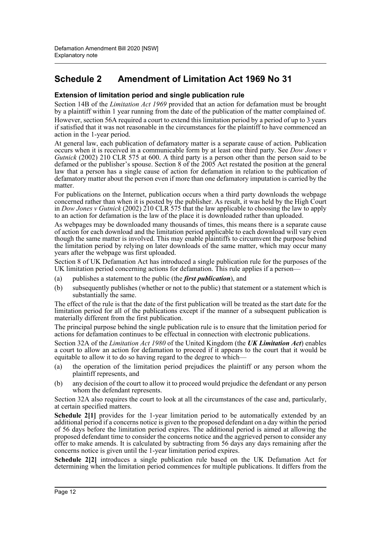## **Schedule 2 Amendment of Limitation Act 1969 No 31**

### **Extension of limitation period and single publication rule**

Section 14B of the *Limitation Act 1969* provided that an action for defamation must be brought by a plaintiff within 1 year running from the date of the publication of the matter complained of. However, section 56A required a court to extend this limitation period by a period of up to 3 years if satisfied that it was not reasonable in the circumstances for the plaintiff to have commenced an action in the 1-year period.

At general law, each publication of defamatory matter is a separate cause of action. Publication occurs when it is received in a communicable form by at least one third party. See *Dow Jones v Gutnick* (2002) 210 CLR 575 at 600. A third party is a person other than the person said to be defamed or the publisher's spouse. Section 8 of the 2005 Act restated the position at the general law that a person has a single cause of action for defamation in relation to the publication of defamatory matter about the person even if more than one defamatory imputation is carried by the matter.

For publications on the Internet, publication occurs when a third party downloads the webpage concerned rather than when it is posted by the publisher. As result, it was held by the High Court in *Dow Jones v Gutnick* (2002) 210 CLR 575 that the law applicable to choosing the law to apply to an action for defamation is the law of the place it is downloaded rather than uploaded.

As webpages may be downloaded many thousands of times, this means there is a separate cause of action for each download and the limitation period applicable to each download will vary even though the same matter is involved. This may enable plaintiffs to circumvent the purpose behind the limitation period by relying on later downloads of the same matter, which may occur many years after the webpage was first uploaded.

Section 8 of UK Defamation Act has introduced a single publication rule for the purposes of the UK limitation period concerning actions for defamation. This rule applies if a person—

- (a) publishes a statement to the public (the *first publication*), and
- (b) subsequently publishes (whether or not to the public) that statement or a statement which is substantially the same.

The effect of the rule is that the date of the first publication will be treated as the start date for the limitation period for all of the publications except if the manner of a subsequent publication is materially different from the first publication.

The principal purpose behind the single publication rule is to ensure that the limitation period for actions for defamation continues to be effectual in connection with electronic publications.

Section 32A of the *Limitation Act 1980* of the United Kingdom (the *UK Limitation Act*) enables a court to allow an action for defamation to proceed if it appears to the court that it would be equitable to allow it to do so having regard to the degree to which—

- (a) the operation of the limitation period prejudices the plaintiff or any person whom the plaintiff represents, and
- (b) any decision of the court to allow it to proceed would prejudice the defendant or any person whom the defendant represents.

Section 32A also requires the court to look at all the circumstances of the case and, particularly, at certain specified matters.

Schedule 2<sup>[1]</sup> provides for the 1-year limitation period to be automatically extended by an additional period if a concerns notice is given to the proposed defendant on a day within the period of 56 days before the limitation period expires. The additional period is aimed at allowing the proposed defendant time to consider the concerns notice and the aggrieved person to consider any offer to make amends. It is calculated by subtracting from 56 days any days remaining after the concerns notice is given until the 1-year limitation period expires.

**Schedule 2[2]** introduces a single publication rule based on the UK Defamation Act for determining when the limitation period commences for multiple publications. It differs from the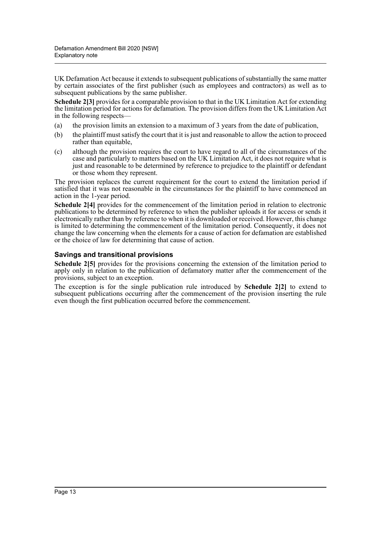UK Defamation Act because it extends to subsequent publications of substantially the same matter by certain associates of the first publisher (such as employees and contractors) as well as to subsequent publications by the same publisher.

**Schedule 2[3]** provides for a comparable provision to that in the UK Limitation Act for extending the limitation period for actions for defamation. The provision differs from the UK Limitation Act in the following respects—

- (a) the provision limits an extension to a maximum of 3 years from the date of publication,
- (b) the plaintiff must satisfy the court that it is just and reasonable to allow the action to proceed rather than equitable,
- (c) although the provision requires the court to have regard to all of the circumstances of the case and particularly to matters based on the UK Limitation Act, it does not require what is just and reasonable to be determined by reference to prejudice to the plaintiff or defendant or those whom they represent.

The provision replaces the current requirement for the court to extend the limitation period if satisfied that it was not reasonable in the circumstances for the plaintiff to have commenced an action in the 1-year period.

**Schedule 2[4]** provides for the commencement of the limitation period in relation to electronic publications to be determined by reference to when the publisher uploads it for access or sends it electronically rather than by reference to when it is downloaded or received. However, this change is limited to determining the commencement of the limitation period. Consequently, it does not change the law concerning when the elements for a cause of action for defamation are established or the choice of law for determining that cause of action.

### **Savings and transitional provisions**

**Schedule 2[5]** provides for the provisions concerning the extension of the limitation period to apply only in relation to the publication of defamatory matter after the commencement of the provisions, subject to an exception.

The exception is for the single publication rule introduced by **Schedule 2[2]** to extend to subsequent publications occurring after the commencement of the provision inserting the rule even though the first publication occurred before the commencement.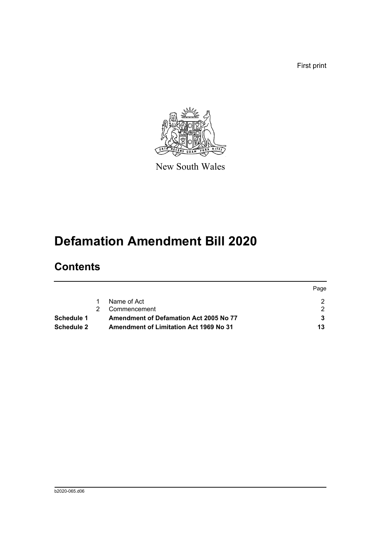First print



New South Wales

# **Defamation Amendment Bill 2020**

# **Contents**

|                   |                                               | Page |
|-------------------|-----------------------------------------------|------|
|                   | Name of Act                                   |      |
|                   | Commencement                                  |      |
| Schedule 1        | Amendment of Defamation Act 2005 No 77        |      |
| <b>Schedule 2</b> | <b>Amendment of Limitation Act 1969 No 31</b> | 13   |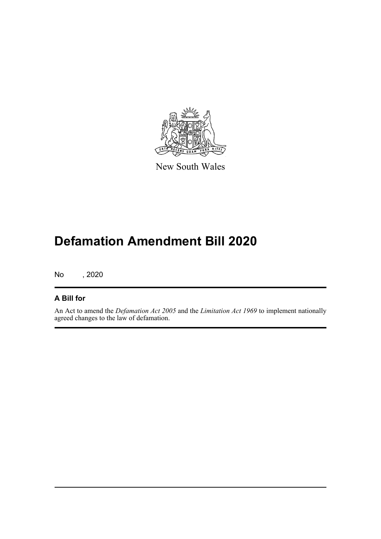

New South Wales

# **Defamation Amendment Bill 2020**

No , 2020

### **A Bill for**

An Act to amend the *Defamation Act 2005* and the *Limitation Act 1969* to implement nationally agreed changes to the law of defamation.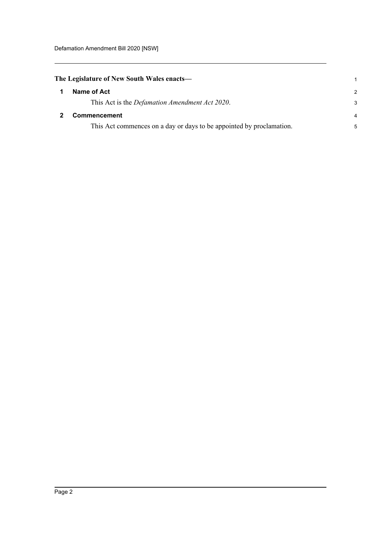<span id="page-15-1"></span><span id="page-15-0"></span>

| The Legislature of New South Wales enacts—                           |               |
|----------------------------------------------------------------------|---------------|
| Name of Act                                                          | $\mathcal{P}$ |
| This Act is the <i>Defamation Amendment Act 2020</i> .               | 3             |
| <b>Commencement</b>                                                  | 4             |
| This Act commences on a day or days to be appointed by proclamation. | 5             |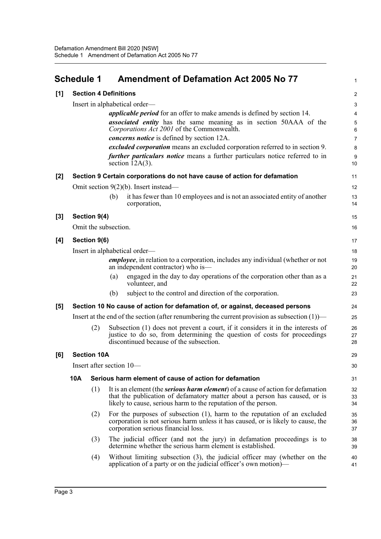<span id="page-16-0"></span>

|       | <b>Schedule 1</b>             |                    | <b>Amendment of Defamation Act 2005 No 77</b>                                                                                                                                                                                           | $\mathbf{1}$     |  |  |
|-------|-------------------------------|--------------------|-----------------------------------------------------------------------------------------------------------------------------------------------------------------------------------------------------------------------------------------|------------------|--|--|
| [1]   |                               |                    | <b>Section 4 Definitions</b>                                                                                                                                                                                                            | $\boldsymbol{2}$ |  |  |
|       |                               |                    | Insert in alphabetical order—                                                                                                                                                                                                           | 3                |  |  |
|       |                               |                    | <i>applicable period</i> for an offer to make amends is defined by section 14.                                                                                                                                                          | $\overline{4}$   |  |  |
|       |                               |                    | <i>associated entity</i> has the same meaning as in section 50AAA of the<br>Corporations Act 2001 of the Commonwealth.                                                                                                                  | 5<br>6           |  |  |
|       |                               |                    | <i>concerns notice</i> is defined by section 12A.                                                                                                                                                                                       | $\overline{7}$   |  |  |
|       |                               |                    | excluded corporation means an excluded corporation referred to in section 9.                                                                                                                                                            | 8                |  |  |
|       |                               |                    | further particulars notice means a further particulars notice referred to in<br>section $12A(3)$ .                                                                                                                                      | 9<br>10          |  |  |
| [2]   |                               |                    | Section 9 Certain corporations do not have cause of action for defamation                                                                                                                                                               | 11               |  |  |
|       |                               |                    | Omit section $9(2)(b)$ . Insert instead—                                                                                                                                                                                                | 12               |  |  |
|       |                               |                    | it has fewer than 10 employees and is not an associated entity of another<br>(b)<br>corporation,                                                                                                                                        | 13<br>14         |  |  |
| $[3]$ |                               | Section 9(4)       |                                                                                                                                                                                                                                         | 15               |  |  |
|       |                               |                    | Omit the subsection.                                                                                                                                                                                                                    | 16               |  |  |
| [4]   |                               | Section 9(6)       |                                                                                                                                                                                                                                         | 17               |  |  |
|       | Insert in alphabetical order- |                    |                                                                                                                                                                                                                                         |                  |  |  |
|       |                               |                    | <i>employee</i> , in relation to a corporation, includes any individual (whether or not<br>an independent contractor) who is—                                                                                                           | 19<br>20         |  |  |
|       |                               |                    | engaged in the day to day operations of the corporation other than as a<br>(a)<br>volunteer, and                                                                                                                                        | 21<br>22         |  |  |
|       |                               |                    | subject to the control and direction of the corporation.<br>(b)                                                                                                                                                                         | 23               |  |  |
| [5]   |                               |                    | Section 10 No cause of action for defamation of, or against, deceased persons                                                                                                                                                           | 24               |  |  |
|       |                               |                    | Insert at the end of the section (after renumbering the current provision as subsection $(1)$ )—                                                                                                                                        | 25               |  |  |
|       |                               | (2)                | Subsection (1) does not prevent a court, if it considers it in the interests of<br>justice to do so, from determining the question of costs for proceedings<br>discontinued because of the subsection.                                  | 26<br>27<br>28   |  |  |
| [6]   |                               | <b>Section 10A</b> |                                                                                                                                                                                                                                         | 29               |  |  |
|       |                               |                    | Insert after section 10-                                                                                                                                                                                                                | 30               |  |  |
|       | <b>10A</b>                    |                    | Serious harm element of cause of action for defamation                                                                                                                                                                                  | 31               |  |  |
|       |                               | (1)                | It is an element (the <i>serious harm element</i> ) of a cause of action for defamation<br>that the publication of defamatory matter about a person has caused, or is<br>likely to cause, serious harm to the reputation of the person. | 32<br>33<br>34   |  |  |
|       |                               | (2)                | For the purposes of subsection $(1)$ , harm to the reputation of an excluded<br>corporation is not serious harm unless it has caused, or is likely to cause, the<br>corporation serious financial loss.                                 | 35<br>36<br>37   |  |  |
|       |                               | (3)                | The judicial officer (and not the jury) in defamation proceedings is to<br>determine whether the serious harm element is established.                                                                                                   | 38<br>39         |  |  |
|       |                               | (4)                | Without limiting subsection (3), the judicial officer may (whether on the<br>application of a party or on the judicial officer's own motion)—                                                                                           | 40<br>41         |  |  |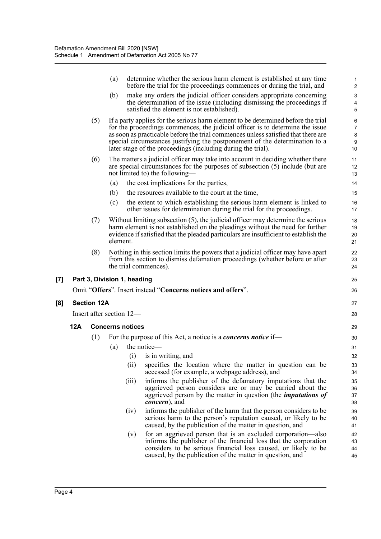|                   |     |                    | (a)      |                             | determine whether the serious harm element is established at any time<br>before the trial for the proceedings commences or during the trial, and                                                                                                                                                                                                                                                       | $\mathbf{1}$<br>$\mathbf 2$               |
|-------------------|-----|--------------------|----------|-----------------------------|--------------------------------------------------------------------------------------------------------------------------------------------------------------------------------------------------------------------------------------------------------------------------------------------------------------------------------------------------------------------------------------------------------|-------------------------------------------|
|                   |     |                    | (b)      |                             | make any orders the judicial officer considers appropriate concerning<br>the determination of the issue (including dismissing the proceedings if<br>satisfied the element is not established).                                                                                                                                                                                                         | $\mathsf 3$<br>4<br>5                     |
|                   |     | (5)                |          |                             | If a party applies for the serious harm element to be determined before the trial<br>for the proceedings commences, the judicial officer is to determine the issue<br>as soon as practicable before the trial commences unless satisfied that there are<br>special circumstances justifying the postponement of the determination to a<br>later stage of the proceedings (including during the trial). | 6<br>$\overline{7}$<br>$\bf 8$<br>9<br>10 |
|                   |     | (6)                |          |                             | The matters a judicial officer may take into account in deciding whether there<br>are special circumstances for the purposes of subsection $(5)$ include (but are<br>not limited to) the following—                                                                                                                                                                                                    | 11<br>12<br>13                            |
|                   |     |                    | (a)      |                             | the cost implications for the parties,                                                                                                                                                                                                                                                                                                                                                                 | 14                                        |
|                   |     |                    | (b)      |                             | the resources available to the court at the time,                                                                                                                                                                                                                                                                                                                                                      | 15                                        |
|                   |     |                    | (c)      |                             | the extent to which establishing the serious harm element is linked to<br>other issues for determination during the trial for the proceedings.                                                                                                                                                                                                                                                         | 16<br>17                                  |
|                   |     | (7)                | element. |                             | Without limiting subsection $(5)$ , the judicial officer may determine the serious<br>harm element is not established on the pleadings without the need for further<br>evidence if satisfied that the pleaded particulars are insufficient to establish the                                                                                                                                            | 18<br>19<br>20<br>21                      |
|                   |     | (8)                |          |                             | Nothing in this section limits the powers that a judicial officer may have apart<br>from this section to dismiss defamation proceedings (whether before or after<br>the trial commences).                                                                                                                                                                                                              | 22<br>23<br>24                            |
| $\left[ 7\right]$ |     |                    |          | Part 3, Division 1, heading |                                                                                                                                                                                                                                                                                                                                                                                                        | 25                                        |
|                   |     |                    |          |                             | Omit "Offers". Insert instead "Concerns notices and offers".                                                                                                                                                                                                                                                                                                                                           | 26                                        |
| [8]               |     | <b>Section 12A</b> |          |                             |                                                                                                                                                                                                                                                                                                                                                                                                        | 27                                        |
|                   |     |                    |          | Insert after section 12-    |                                                                                                                                                                                                                                                                                                                                                                                                        |                                           |
|                   |     |                    |          |                             |                                                                                                                                                                                                                                                                                                                                                                                                        | 28                                        |
|                   | 12A |                    |          | <b>Concerns notices</b>     |                                                                                                                                                                                                                                                                                                                                                                                                        | 29                                        |
|                   |     | (1)                |          |                             | For the purpose of this Act, a notice is a <i>concerns notice</i> if—                                                                                                                                                                                                                                                                                                                                  | 30                                        |
|                   |     |                    | (a)      |                             | the notice-                                                                                                                                                                                                                                                                                                                                                                                            | 31                                        |
|                   |     |                    |          | (i)                         | is in writing, and                                                                                                                                                                                                                                                                                                                                                                                     | 32                                        |
|                   |     |                    |          | (ii)                        | specifies the location where the matter in question can be<br>accessed (for example, a webpage address), and                                                                                                                                                                                                                                                                                           | 33<br>34                                  |
|                   |     |                    |          | (iii)                       | informs the publisher of the defamatory imputations that the<br>aggrieved person considers are or may be carried about the<br>aggrieved person by the matter in question (the <i>imputations of</i><br><i>concern</i> ), and                                                                                                                                                                           | 35<br>36<br>37<br>38                      |
|                   |     |                    |          | (iv)                        | informs the publisher of the harm that the person considers to be<br>serious harm to the person's reputation caused, or likely to be<br>caused, by the publication of the matter in question, and                                                                                                                                                                                                      | 39<br>40<br>41                            |
|                   |     |                    |          | (v)                         | for an aggrieved person that is an excluded corporation—also<br>informs the publisher of the financial loss that the corporation<br>considers to be serious financial loss caused, or likely to be<br>caused, by the publication of the matter in question, and                                                                                                                                        | 42<br>43<br>44<br>45                      |

**[8]**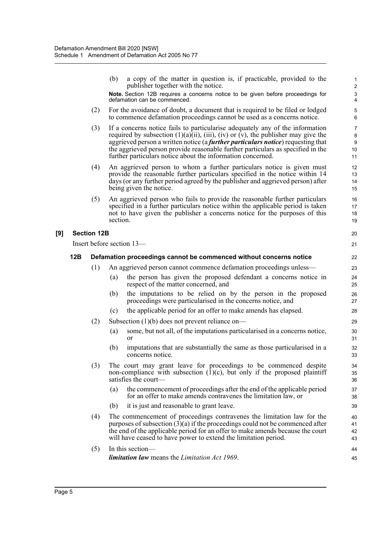|     |     |                    | (b)<br>a copy of the matter in question is, if practicable, provided to the<br>publisher together with the notice.<br>Note. Section 12B requires a concerns notice to be given before proceedings for<br>defamation can be commenced.                                                                                                                                                                               | $\mathbf{1}$<br>$\overline{2}$<br>$\ensuremath{\mathsf{3}}$<br>$\overline{\mathbf{4}}$ |
|-----|-----|--------------------|---------------------------------------------------------------------------------------------------------------------------------------------------------------------------------------------------------------------------------------------------------------------------------------------------------------------------------------------------------------------------------------------------------------------|----------------------------------------------------------------------------------------|
|     |     | (2)                | For the avoidance of doubt, a document that is required to be filed or lodged<br>to commence defamation proceedings cannot be used as a concerns notice.                                                                                                                                                                                                                                                            | 5<br>6                                                                                 |
|     |     | (3)                | If a concerns notice fails to particularise adequately any of the information<br>required by subsection $(1)(a)(ii)$ , $(iii)$ , $(iv)$ or $(v)$ , the publisher may give the<br>aggrieved person a written notice (a further particulars notice) requesting that<br>the aggrieved person provide reasonable further particulars as specified in the<br>further particulars notice about the information concerned. | $\overline{7}$<br>8<br>$\boldsymbol{9}$<br>10<br>11                                    |
|     |     | (4)                | An aggrieved person to whom a further particulars notice is given must<br>provide the reasonable further particulars specified in the notice within 14<br>days (or any further period agreed by the publisher and aggrieved person) after<br>being given the notice.                                                                                                                                                | 12<br>13<br>14<br>15                                                                   |
|     |     | (5)                | An aggrieved person who fails to provide the reasonable further particulars<br>specified in a further particulars notice within the applicable period is taken<br>not to have given the publisher a concerns notice for the purposes of this<br>section.                                                                                                                                                            | 16<br>17<br>18<br>19                                                                   |
| [9] |     | <b>Section 12B</b> |                                                                                                                                                                                                                                                                                                                                                                                                                     | 20                                                                                     |
|     |     |                    | Insert before section 13-                                                                                                                                                                                                                                                                                                                                                                                           | 21                                                                                     |
|     | 12B |                    | Defamation proceedings cannot be commenced without concerns notice                                                                                                                                                                                                                                                                                                                                                  | 22                                                                                     |
|     |     | (1)                | An aggrieved person cannot commence defamation proceedings unless—                                                                                                                                                                                                                                                                                                                                                  | 23                                                                                     |
|     |     |                    | the person has given the proposed defendant a concerns notice in<br>(a)<br>respect of the matter concerned, and                                                                                                                                                                                                                                                                                                     | 24<br>25                                                                               |
|     |     |                    | the imputations to be relied on by the person in the proposed<br>(b)<br>proceedings were particularised in the concerns notice, and                                                                                                                                                                                                                                                                                 | 26<br>27                                                                               |
|     |     |                    | the applicable period for an offer to make amends has elapsed.<br>(c)                                                                                                                                                                                                                                                                                                                                               | 28                                                                                     |
|     |     | (2)                | Subsection $(1)(b)$ does not prevent reliance on-                                                                                                                                                                                                                                                                                                                                                                   | 29                                                                                     |
|     |     |                    | some, but not all, of the imputations particularised in a concerns notice,<br>(a)<br>or                                                                                                                                                                                                                                                                                                                             | 30<br>31                                                                               |
|     |     |                    | (b)<br>imputations that are substantially the same as those particularised in a<br>concerns notice.                                                                                                                                                                                                                                                                                                                 | 32<br>33                                                                               |
|     |     | (3)                | The court may grant leave for proceedings to be commenced despite<br>non-compliance with subsection $(1)(c)$ , but only if the proposed plaintiff<br>satisfies the court—                                                                                                                                                                                                                                           | 34<br>35<br>36                                                                         |
|     |     |                    | the commencement of proceedings after the end of the applicable period<br>(a)<br>for an offer to make amends contravenes the limitation law, or                                                                                                                                                                                                                                                                     | 37<br>38                                                                               |
|     |     |                    | (b)<br>it is just and reasonable to grant leave.                                                                                                                                                                                                                                                                                                                                                                    | 39                                                                                     |
|     |     | (4)                | The commencement of proceedings contravenes the limitation law for the<br>purposes of subsection $(3)(a)$ if the proceedings could not be commenced after<br>the end of the applicable period for an offer to make amends because the court<br>will have ceased to have power to extend the limitation period.                                                                                                      | 40<br>41<br>42<br>43                                                                   |
|     |     | (5)                | In this section-                                                                                                                                                                                                                                                                                                                                                                                                    | 44                                                                                     |
|     |     |                    | <b>limitation law</b> means the <i>Limitation Act 1969</i> .                                                                                                                                                                                                                                                                                                                                                        | 45                                                                                     |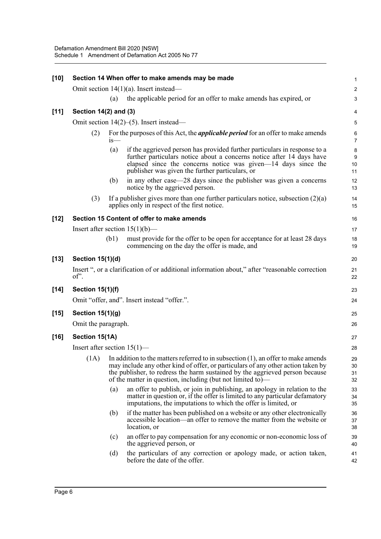| $[10]$ | Section 14 When offer to make amends may be made |        |                                                                                                                                                                                                                                                                                                                        |                      |  |  |  |
|--------|--------------------------------------------------|--------|------------------------------------------------------------------------------------------------------------------------------------------------------------------------------------------------------------------------------------------------------------------------------------------------------------------------|----------------------|--|--|--|
|        |                                                  |        | Omit section 14(1)(a). Insert instead-                                                                                                                                                                                                                                                                                 | $\boldsymbol{2}$     |  |  |  |
|        |                                                  | (a)    | the applicable period for an offer to make amends has expired, or                                                                                                                                                                                                                                                      | 3                    |  |  |  |
| [11]   | Section 14(2) and (3)                            |        |                                                                                                                                                                                                                                                                                                                        | 4                    |  |  |  |
|        |                                                  |        | Omit section $14(2)$ –(5). Insert instead—                                                                                                                                                                                                                                                                             | 5                    |  |  |  |
|        | (2)                                              | $1S$ — | For the purposes of this Act, the <i>applicable period</i> for an offer to make amends                                                                                                                                                                                                                                 | 6<br>$\overline{7}$  |  |  |  |
|        |                                                  | (a)    | if the aggrieved person has provided further particulars in response to a<br>further particulars notice about a concerns notice after 14 days have<br>elapsed since the concerns notice was given-14 days since the<br>publisher was given the further particulars, or                                                 | 8<br>9<br>10<br>11   |  |  |  |
|        |                                                  | (b)    | in any other case—28 days since the publisher was given a concerns<br>notice by the aggrieved person.                                                                                                                                                                                                                  | 12<br>13             |  |  |  |
|        | (3)                                              |        | If a publisher gives more than one further particulars notice, subsection $(2)(a)$<br>applies only in respect of the first notice.                                                                                                                                                                                     | 14<br>15             |  |  |  |
| $[12]$ |                                                  |        | Section 15 Content of offer to make amends                                                                                                                                                                                                                                                                             | 16                   |  |  |  |
|        |                                                  |        | Insert after section $15(1)(b)$ —                                                                                                                                                                                                                                                                                      | 17                   |  |  |  |
|        |                                                  | (b1)   | must provide for the offer to be open for acceptance for at least 28 days<br>commencing on the day the offer is made, and                                                                                                                                                                                              | 18<br>19             |  |  |  |
| $[13]$ | Section 15(1)(d)                                 |        |                                                                                                                                                                                                                                                                                                                        | 20                   |  |  |  |
|        | of'.                                             |        | Insert ", or a clarification of or additional information about," after "reasonable correction                                                                                                                                                                                                                         | 21<br>22             |  |  |  |
| $[14]$ | <b>Section 15(1)(f)</b>                          |        |                                                                                                                                                                                                                                                                                                                        | 23                   |  |  |  |
|        |                                                  |        | Omit "offer, and". Insert instead "offer.".                                                                                                                                                                                                                                                                            | 24                   |  |  |  |
| $[15]$ | <b>Section 15(1)(g)</b>                          |        |                                                                                                                                                                                                                                                                                                                        | 25                   |  |  |  |
|        | Omit the paragraph.                              |        |                                                                                                                                                                                                                                                                                                                        | 26                   |  |  |  |
| $[16]$ | Section 15(1A)                                   |        |                                                                                                                                                                                                                                                                                                                        | 27                   |  |  |  |
|        | Insert after section $15(1)$ —                   |        |                                                                                                                                                                                                                                                                                                                        | 28                   |  |  |  |
|        | (1A)                                             |        | In addition to the matters referred to in subsection $(1)$ , an offer to make amends<br>may include any other kind of offer, or particulars of any other action taken by<br>the publisher, to redress the harm sustained by the aggrieved person because<br>of the matter in question, including (but not limited to)— | 29<br>30<br>31<br>32 |  |  |  |
|        |                                                  | (a)    | an offer to publish, or join in publishing, an apology in relation to the<br>matter in question or, if the offer is limited to any particular defamatory<br>imputations, the imputations to which the offer is limited, or                                                                                             | 33<br>34<br>35       |  |  |  |
|        |                                                  | (b)    | if the matter has been published on a website or any other electronically<br>accessible location—an offer to remove the matter from the website or<br>location, or                                                                                                                                                     | 36<br>37<br>38       |  |  |  |
|        |                                                  | (c)    | an offer to pay compensation for any economic or non-economic loss of<br>the aggrieved person, or                                                                                                                                                                                                                      | 39<br>40             |  |  |  |
|        |                                                  | (d)    | the particulars of any correction or apology made, or action taken,<br>before the date of the offer.                                                                                                                                                                                                                   | 41<br>42             |  |  |  |
|        |                                                  |        |                                                                                                                                                                                                                                                                                                                        |                      |  |  |  |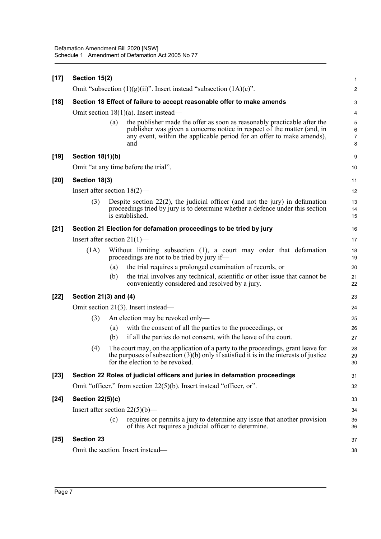| $[17]$ | Section 15(2)                             |     |                                                                                                                                                                                                                                     | 1                       |  |  |
|--------|-------------------------------------------|-----|-------------------------------------------------------------------------------------------------------------------------------------------------------------------------------------------------------------------------------------|-------------------------|--|--|
|        |                                           |     | Omit "subsection $(1)(g)(ii)$ ". Insert instead "subsection $(1A)(c)$ ".                                                                                                                                                            | $\overline{\mathbf{c}}$ |  |  |
| $[18]$ |                                           |     | Section 18 Effect of failure to accept reasonable offer to make amends                                                                                                                                                              | 3                       |  |  |
|        | Omit section $18(1)(a)$ . Insert instead— |     |                                                                                                                                                                                                                                     |                         |  |  |
|        |                                           | (a) | the publisher made the offer as soon as reasonably practicable after the<br>publisher was given a concerns notice in respect of the matter (and, in<br>any event, within the applicable period for an offer to make amends),<br>and | 5<br>6<br>7<br>8        |  |  |
| $[19]$ | <b>Section 18(1)(b)</b>                   |     |                                                                                                                                                                                                                                     | 9                       |  |  |
|        |                                           |     | Omit "at any time before the trial".                                                                                                                                                                                                | 10                      |  |  |
| $[20]$ | Section 18(3)                             |     |                                                                                                                                                                                                                                     | 11                      |  |  |
|        | Insert after section $18(2)$ —            |     |                                                                                                                                                                                                                                     | 12                      |  |  |
|        | (3)                                       |     | Despite section $22(2)$ , the judicial officer (and not the jury) in defamation<br>proceedings tried by jury is to determine whether a defence under this section<br>is established.                                                | 13<br>14<br>15          |  |  |
| $[21]$ |                                           |     | Section 21 Election for defamation proceedings to be tried by jury                                                                                                                                                                  | 16                      |  |  |
|        | Insert after section $21(1)$ —            |     |                                                                                                                                                                                                                                     | 17                      |  |  |
|        | (1A)                                      |     | Without limiting subsection (1), a court may order that defamation<br>proceedings are not to be tried by jury if—                                                                                                                   | 18<br>19                |  |  |
|        |                                           | (a) | the trial requires a prolonged examination of records, or                                                                                                                                                                           | 20                      |  |  |
|        |                                           | (b) | the trial involves any technical, scientific or other issue that cannot be<br>conveniently considered and resolved by a jury.                                                                                                       | 21<br>22                |  |  |
| $[22]$ | Section 21(3) and (4)                     |     |                                                                                                                                                                                                                                     | 23                      |  |  |
|        |                                           |     | Omit section 21(3). Insert instead—                                                                                                                                                                                                 | 24                      |  |  |
|        | (3)                                       |     | An election may be revoked only—                                                                                                                                                                                                    | 25                      |  |  |
|        |                                           | (a) | with the consent of all the parties to the proceedings, or                                                                                                                                                                          | 26                      |  |  |
|        |                                           | (b) | if all the parties do not consent, with the leave of the court.                                                                                                                                                                     | 27                      |  |  |
|        | (4)                                       |     | The court may, on the application of a party to the proceedings, grant leave for<br>the purposes of subsection $(3)(b)$ only if satisfied it is in the interests of justice<br>for the election to be revoked.                      | 28<br>29<br>30          |  |  |
| $[23]$ |                                           |     | Section 22 Roles of judicial officers and juries in defamation proceedings                                                                                                                                                          | 31                      |  |  |
|        |                                           |     | Omit "officer." from section 22(5)(b). Insert instead "officer, or".                                                                                                                                                                | 32                      |  |  |
| $[24]$ | <b>Section 22(5)(c)</b>                   |     |                                                                                                                                                                                                                                     | 33                      |  |  |
|        |                                           |     | Insert after section $22(5)(b)$ —                                                                                                                                                                                                   | 34                      |  |  |
|        |                                           | (c) | requires or permits a jury to determine any issue that another provision<br>of this Act requires a judicial officer to determine.                                                                                                   | 35<br>36                |  |  |
| $[25]$ | <b>Section 23</b>                         |     |                                                                                                                                                                                                                                     | 37                      |  |  |
|        |                                           |     | Omit the section. Insert instead-                                                                                                                                                                                                   | 38                      |  |  |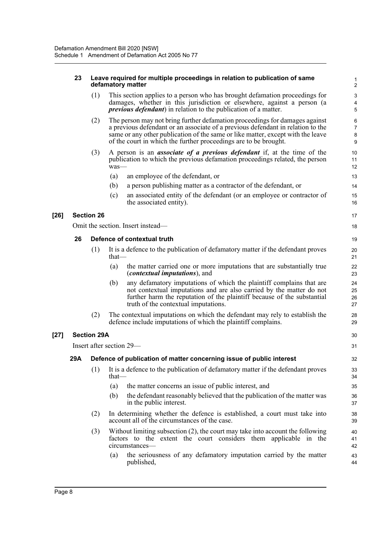#### **23 Leave required for multiple proceedings in relation to publication of same defamatory matter**

(1) This section applies to a person who has brought defamation proceedings for damages, whether in this jurisdiction or elsewhere, against a person (a *previous defendant*) in relation to the publication of a matter.

- (2) The person may not bring further defamation proceedings for damages against a previous defendant or an associate of a previous defendant in relation to the same or any other publication of the same or like matter, except with the leave of the court in which the further proceedings are to be brought.
- (3) A person is an *associate of a previous defendant* if, at the time of the publication to which the previous defamation proceedings related, the person was—
	- (a) an employee of the defendant, or
	- (b) a person publishing matter as a contractor of the defendant, or
	- (c) an associated entity of the defendant (or an employee or contractor of the associated entity).

### **[26] Section 26**

Omit the section. Insert instead—

### **26 Defence of contextual truth**

- (1) It is a defence to the publication of defamatory matter if the defendant proves that—
	- (a) the matter carried one or more imputations that are substantially true (*contextual imputations*), and
	- (b) any defamatory imputations of which the plaintiff complains that are not contextual imputations and are also carried by the matter do not further harm the reputation of the plaintiff because of the substantial truth of the contextual imputations.
- (2) The contextual imputations on which the defendant may rely to establish the defence include imputations of which the plaintiff complains.

### **[27] Section 29A**

Insert after section 29—

### **29A Defence of publication of matter concerning issue of public interest**

- (1) It is a defence to the publication of defamatory matter if the defendant proves that—
	- (a) the matter concerns an issue of public interest, and
	- (b) the defendant reasonably believed that the publication of the matter was in the public interest.
- (2) In determining whether the defence is established, a court must take into account all of the circumstances of the case.
- (3) Without limiting subsection (2), the court may take into account the following factors to the extent the court considers them applicable in the circumstances—
	- (a) the seriousness of any defamatory imputation carried by the matter published,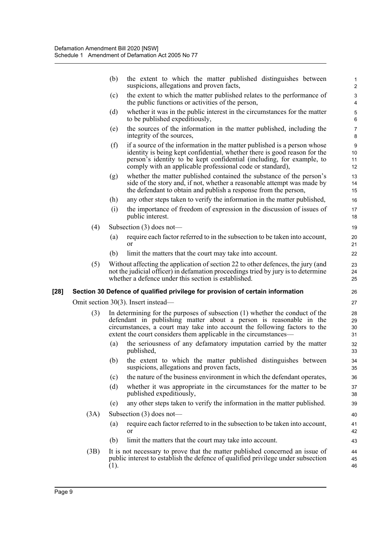|      |      | (b)<br>the extent to which the matter published distinguishes between<br>suspicions, allegations and proven facts,                                                                                                                                                                                    | $\mathbf{1}$<br>$\overline{c}$     |
|------|------|-------------------------------------------------------------------------------------------------------------------------------------------------------------------------------------------------------------------------------------------------------------------------------------------------------|------------------------------------|
|      |      | the extent to which the matter published relates to the performance of<br>(c)<br>the public functions or activities of the person,                                                                                                                                                                    | 3<br>$\overline{4}$                |
|      |      | whether it was in the public interest in the circumstances for the matter<br>(d)<br>to be published expeditiously,                                                                                                                                                                                    | 5<br>6                             |
|      |      | the sources of the information in the matter published, including the<br>(e)<br>integrity of the sources,                                                                                                                                                                                             | $\overline{7}$<br>8                |
|      |      | if a source of the information in the matter published is a person whose<br>(f)<br>identity is being kept confidential, whether there is good reason for the<br>person's identity to be kept confidential (including, for example, to<br>comply with an applicable professional code or standard),    | $\boldsymbol{9}$<br>10<br>11<br>12 |
|      |      | whether the matter published contained the substance of the person's<br>(g)<br>side of the story and, if not, whether a reasonable attempt was made by<br>the defendant to obtain and publish a response from the person,                                                                             | 13<br>14<br>15                     |
|      |      | any other steps taken to verify the information in the matter published,<br>(h)                                                                                                                                                                                                                       | 16                                 |
|      |      | the importance of freedom of expression in the discussion of issues of<br>(i)<br>public interest.                                                                                                                                                                                                     | 17<br>18                           |
|      | (4)  | Subsection $(3)$ does not—                                                                                                                                                                                                                                                                            | 19                                 |
|      |      | require each factor referred to in the subsection to be taken into account,<br>(a)<br><b>or</b>                                                                                                                                                                                                       | 20<br>21                           |
|      |      | (b)<br>limit the matters that the court may take into account.                                                                                                                                                                                                                                        | 22                                 |
|      | (5)  | Without affecting the application of section 22 to other defences, the jury (and<br>not the judicial officer) in defamation proceedings tried by jury is to determine<br>whether a defence under this section is established.                                                                         | 23<br>24<br>25                     |
| [28] |      | Section 30 Defence of qualified privilege for provision of certain information                                                                                                                                                                                                                        | 26                                 |
|      |      | Omit section 30(3). Insert instead—                                                                                                                                                                                                                                                                   | 27                                 |
|      | (3)  | In determining for the purposes of subsection $(1)$ whether the conduct of the<br>defendant in publishing matter about a person is reasonable in the<br>circumstances, a court may take into account the following factors to the<br>extent the court considers them applicable in the circumstances- | 28<br>29<br>30<br>31               |
|      |      | the seriousness of any defamatory imputation carried by the matter<br>(a)<br>published,                                                                                                                                                                                                               | 32<br>33                           |
|      |      | (b) the extent to which the matter published distinguishes between<br>suspicions, allegations and proven facts,                                                                                                                                                                                       | 34<br>35                           |
|      |      | the nature of the business environment in which the defendant operates,<br>(c)                                                                                                                                                                                                                        | 36                                 |
|      |      | whether it was appropriate in the circumstances for the matter to be<br>(d)<br>published expeditiously,                                                                                                                                                                                               | 37<br>38                           |
|      |      | any other steps taken to verify the information in the matter published.<br>(e)                                                                                                                                                                                                                       | 39                                 |
|      | (3A) | Subsection $(3)$ does not—                                                                                                                                                                                                                                                                            | 40                                 |
|      |      | require each factor referred to in the subsection to be taken into account,<br>(a)<br>or                                                                                                                                                                                                              | 41<br>42                           |
|      |      | limit the matters that the court may take into account.<br>(b)                                                                                                                                                                                                                                        | 43                                 |
|      | (3B) | It is not necessary to prove that the matter published concerned an issue of<br>public interest to establish the defence of qualified privilege under subsection<br>(1).                                                                                                                              | 44<br>45<br>46                     |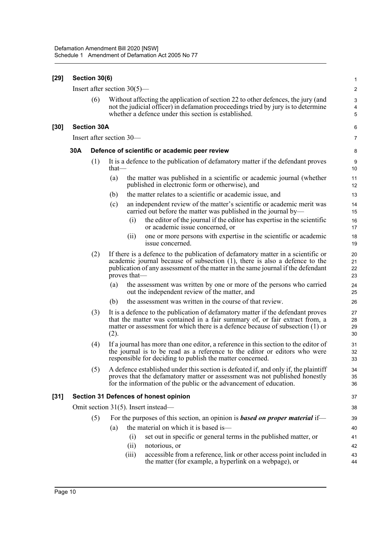| [29] | Section 30(6)            |                    |                                                                                                                                                                                                                                                                    |                                     |  |  |  |
|------|--------------------------|--------------------|--------------------------------------------------------------------------------------------------------------------------------------------------------------------------------------------------------------------------------------------------------------------|-------------------------------------|--|--|--|
|      |                          |                    | Insert after section $30(5)$ —                                                                                                                                                                                                                                     | $\sqrt{2}$                          |  |  |  |
|      |                          | (6)                | Without affecting the application of section 22 to other defences, the jury (and<br>not the judicial officer) in defamation proceedings tried by jury is to determine<br>whether a defence under this section is established.                                      | $\ensuremath{\mathsf{3}}$<br>4<br>5 |  |  |  |
| [30] |                          | <b>Section 30A</b> |                                                                                                                                                                                                                                                                    | 6                                   |  |  |  |
|      | Insert after section 30— |                    |                                                                                                                                                                                                                                                                    |                                     |  |  |  |
|      | 30A                      |                    | Defence of scientific or academic peer review                                                                                                                                                                                                                      | 8                                   |  |  |  |
|      |                          | (1)                | It is a defence to the publication of defamatory matter if the defendant proves<br>$that$ —                                                                                                                                                                        | 9<br>10                             |  |  |  |
|      |                          |                    | the matter was published in a scientific or academic journal (whether<br>(a)<br>published in electronic form or otherwise), and                                                                                                                                    | 11<br>12                            |  |  |  |
|      |                          |                    | the matter relates to a scientific or academic issue, and<br>(b)                                                                                                                                                                                                   | 13                                  |  |  |  |
|      |                          |                    | an independent review of the matter's scientific or academic merit was<br>(c)<br>carried out before the matter was published in the journal by—                                                                                                                    | 14<br>15                            |  |  |  |
|      |                          |                    | the editor of the journal if the editor has expertise in the scientific<br>(i)<br>or academic issue concerned, or                                                                                                                                                  | 16<br>17                            |  |  |  |
|      |                          |                    | one or more persons with expertise in the scientific or academic<br>(ii)<br>issue concerned.                                                                                                                                                                       | 18<br>19                            |  |  |  |
|      |                          | (2)                | If there is a defence to the publication of defamatory matter in a scientific or<br>academic journal because of subsection (1), there is also a defence to the<br>publication of any assessment of the matter in the same journal if the defendant<br>proves that— | 20<br>21<br>22<br>23                |  |  |  |
|      |                          |                    | the assessment was written by one or more of the persons who carried<br>(a)<br>out the independent review of the matter, and                                                                                                                                       | 24<br>25                            |  |  |  |
|      |                          |                    | the assessment was written in the course of that review.<br>(b)                                                                                                                                                                                                    | 26                                  |  |  |  |
|      |                          | (3)                | It is a defence to the publication of defamatory matter if the defendant proves<br>that the matter was contained in a fair summary of, or fair extract from, a<br>matter or assessment for which there is a defence because of subsection (1) or<br>(2).           | 27<br>28<br>29<br>30                |  |  |  |
|      |                          | (4)                | If a journal has more than one editor, a reference in this section to the editor of<br>the journal is to be read as a reference to the editor or editors who were<br>responsible for deciding to publish the matter concerned.                                     | 31<br>32<br>33                      |  |  |  |
|      |                          | (5)                | A defence established under this section is defeated if, and only if, the plaintiff<br>proves that the defamatory matter or assessment was not published honestly<br>for the information of the public or the advancement of education.                            | 34<br>35<br>36                      |  |  |  |
| [31] |                          |                    | <b>Section 31 Defences of honest opinion</b>                                                                                                                                                                                                                       | 37                                  |  |  |  |
|      |                          |                    | Omit section 31(5). Insert instead—                                                                                                                                                                                                                                | 38                                  |  |  |  |
|      |                          | (5)                | For the purposes of this section, an opinion is <b>based on proper material</b> if—                                                                                                                                                                                | 39                                  |  |  |  |
|      |                          |                    | the material on which it is based is—<br>(a)                                                                                                                                                                                                                       | 40                                  |  |  |  |
|      |                          |                    | set out in specific or general terms in the published matter, or<br>(i)                                                                                                                                                                                            | 41                                  |  |  |  |
|      |                          |                    | (ii)<br>notorious, or                                                                                                                                                                                                                                              | 42                                  |  |  |  |
|      |                          |                    | accessible from a reference, link or other access point included in<br>(iii)<br>the matter (for example, a hyperlink on a webpage), or                                                                                                                             | 43<br>44                            |  |  |  |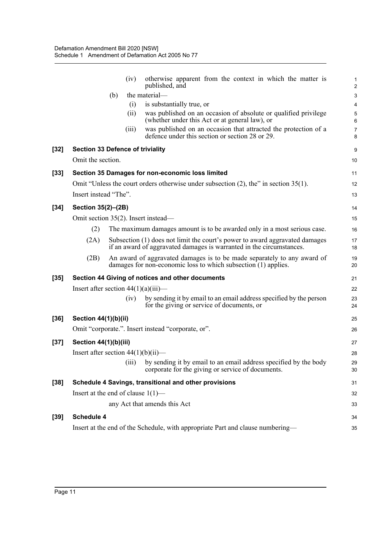|        |                                         | (iv)  | otherwise apparent from the context in which the matter is<br>published, and                                                                        | 1<br>$\overline{c}$ |
|--------|-----------------------------------------|-------|-----------------------------------------------------------------------------------------------------------------------------------------------------|---------------------|
|        |                                         | (b)   | the material-                                                                                                                                       | 3                   |
|        |                                         | (i)   | is substantially true, or                                                                                                                           | 4                   |
|        |                                         | (ii)  | was published on an occasion of absolute or qualified privilege<br>(whether under this Act or at general law), or                                   | 5<br>6              |
|        |                                         | (iii) | was published on an occasion that attracted the protection of a<br>defence under this section or section 28 or 29.                                  | $\overline{7}$<br>8 |
| $[32]$ | <b>Section 33 Defence of triviality</b> |       |                                                                                                                                                     | 9                   |
|        | Omit the section.                       |       |                                                                                                                                                     | 10                  |
| $[33]$ |                                         |       | Section 35 Damages for non-economic loss limited                                                                                                    | 11                  |
|        |                                         |       | Omit "Unless the court orders otherwise under subsection $(2)$ , the" in section 35(1).                                                             | 12                  |
|        | Insert instead "The".                   |       |                                                                                                                                                     | 13                  |
| $[34]$ | Section 35(2)-(2B)                      |       |                                                                                                                                                     | 14                  |
|        |                                         |       | Omit section 35(2). Insert instead-                                                                                                                 | 15                  |
|        | (2)                                     |       | The maximum damages amount is to be awarded only in a most serious case.                                                                            | 16                  |
|        | (2A)                                    |       | Subsection (1) does not limit the court's power to award aggravated damages<br>if an award of aggravated damages is warranted in the circumstances. | 17<br>18            |
|        | (2B)                                    |       | An award of aggravated damages is to be made separately to any award of<br>damages for non-economic loss to which subsection (1) applies.           | 19<br>20            |
| $[35]$ |                                         |       | Section 44 Giving of notices and other documents                                                                                                    | 21                  |
|        | Insert after section $44(1)(a)(iii)$ —  |       |                                                                                                                                                     | 22                  |
|        |                                         | (iv)  | by sending it by email to an email address specified by the person<br>for the giving or service of documents, or                                    | 23<br>24            |
| $[36]$ | Section 44(1)(b)(ii)                    |       |                                                                                                                                                     | 25                  |
|        |                                         |       | Omit "corporate.". Insert instead "corporate, or".                                                                                                  | 26                  |
| $[37]$ | Section 44(1)(b)(iii)                   |       |                                                                                                                                                     | 27                  |
|        | Insert after section $44(1)(b)(ii)$ —   |       |                                                                                                                                                     | 28                  |
|        |                                         | (iii) | by sending it by email to an email address specified by the body<br>corporate for the giving or service of documents.                               | 29<br>30            |
| $[38]$ |                                         |       | Schedule 4 Savings, transitional and other provisions                                                                                               | 31                  |
|        | Insert at the end of clause $1(1)$ —    |       |                                                                                                                                                     | 32                  |
|        |                                         |       | any Act that amends this Act                                                                                                                        | 33                  |
| $[39]$ | Schedule 4                              |       |                                                                                                                                                     | 34                  |
|        |                                         |       | Insert at the end of the Schedule, with appropriate Part and clause numbering—                                                                      | 35                  |
|        |                                         |       |                                                                                                                                                     |                     |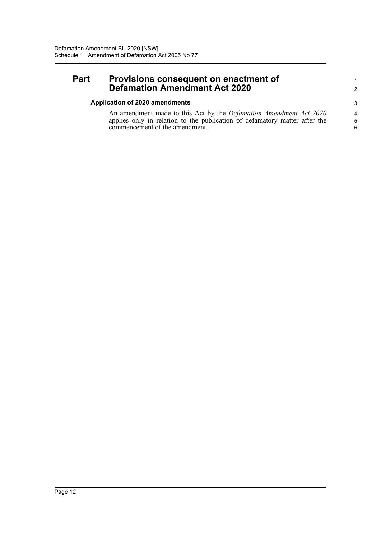### **Part Provisions consequent on enactment of Defamation Amendment Act 2020**

### **Application of 2020 amendments**

An amendment made to this Act by the *Defamation Amendment Act 2020* applies only in relation to the publication of defamatory matter after the commencement of the amendment.

1 2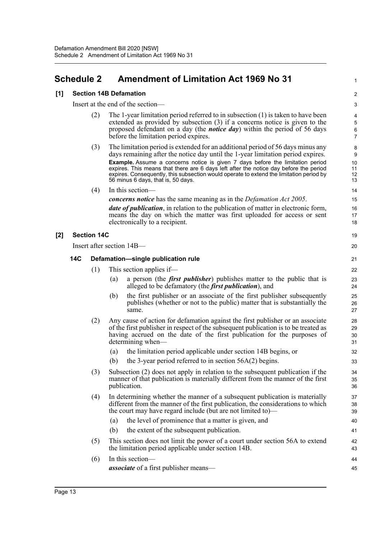### <span id="page-26-0"></span>**Schedule 2 Amendment of Limitation Act 1969 No 31**

#### **[1] Section 14B Defamation**

Insert at the end of the section—

(2) The 1-year limitation period referred to in subsection (1) is taken to have been extended as provided by subsection (3) if a concerns notice is given to the proposed defendant on a day (the *notice day*) within the period of 56 days before the limitation period expires.

1

19 20

- (3) The limitation period is extended for an additional period of 56 days minus any days remaining after the notice day until the 1-year limitation period expires. **Example.** Assume a concerns notice is given 7 days before the limitation period expires. This means that there are 6 days left after the notice day before the period expires. Consequently, this subsection would operate to extend the limitation period by 56 minus 6 days, that is, 50 days.
- (4) In this section
	- *concerns notice* has the same meaning as in the *Defamation Act 2005*.

*date of publication*, in relation to the publication of matter in electronic form, means the day on which the matter was first uploaded for access or sent electronically to a recipient.

### **[2] Section 14C**

Insert after section 14B—

#### **14C Defamation—single publication rule**

- (1) This section applies if—
	- (a) a person (the *first publisher*) publishes matter to the public that is alleged to be defamatory (the *first publication*), and
	- (b) the first publisher or an associate of the first publisher subsequently publishes (whether or not to the public) matter that is substantially the same.
- (2) Any cause of action for defamation against the first publisher or an associate of the first publisher in respect of the subsequent publication is to be treated as having accrued on the date of the first publication for the purposes of determining when—
	- (a) the limitation period applicable under section 14B begins, or
	- (b) the 3-year period referred to in section  $56A(2)$  begins.
- (3) Subsection (2) does not apply in relation to the subsequent publication if the manner of that publication is materially different from the manner of the first publication.
- (4) In determining whether the manner of a subsequent publication is materially different from the manner of the first publication, the considerations to which the court may have regard include (but are not limited to)—
	- (a) the level of prominence that a matter is given, and
	- (b) the extent of the subsequent publication.
- (5) This section does not limit the power of a court under section 56A to extend the limitation period applicable under section 14B.
- (6) In this section *associate* of a first publisher means—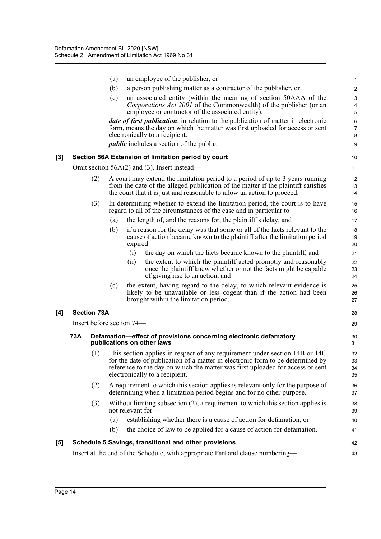|                  |            |                    | (a) | an employee of the publisher, or                                                                                                                                                                                                                                                  | 1                                   |
|------------------|------------|--------------------|-----|-----------------------------------------------------------------------------------------------------------------------------------------------------------------------------------------------------------------------------------------------------------------------------------|-------------------------------------|
|                  |            |                    | (b) | a person publishing matter as a contractor of the publisher, or                                                                                                                                                                                                                   | $\overline{2}$                      |
|                  |            |                    | (c) | an associated entity (within the meaning of section 50AAA of the<br><i>Corporations Act 2001</i> of the Commonwealth) of the publisher (or an                                                                                                                                     | $\sqrt{3}$<br>4                     |
|                  |            |                    |     | employee or contractor of the associated entity).<br><i>date of first publication</i> , in relation to the publication of matter in electronic<br>form, means the day on which the matter was first uploaded for access or sent<br>electronically to a recipient.                 | 5<br>$\,6\,$<br>$\overline{7}$<br>8 |
|                  |            |                    |     | <i>public</i> includes a section of the public.                                                                                                                                                                                                                                   | 9                                   |
| $\left[3\right]$ |            |                    |     | Section 56A Extension of limitation period by court                                                                                                                                                                                                                               | 10                                  |
|                  |            |                    |     | Omit section $56A(2)$ and (3). Insert instead—                                                                                                                                                                                                                                    | 11                                  |
|                  |            | (2)                |     | A court may extend the limitation period to a period of up to 3 years running<br>from the date of the alleged publication of the matter if the plaintiff satisfies<br>the court that it is just and reasonable to allow an action to proceed.                                     | 12<br>13<br>14                      |
|                  |            | (3)                |     | In determining whether to extend the limitation period, the court is to have<br>regard to all of the circumstances of the case and in particular to-                                                                                                                              | 15<br>16                            |
|                  |            |                    | (a) | the length of, and the reasons for, the plaintiff's delay, and                                                                                                                                                                                                                    | 17                                  |
|                  |            |                    | (b) | if a reason for the delay was that some or all of the facts relevant to the<br>cause of action became known to the plaintiff after the limitation period<br>$expired-$                                                                                                            | 18<br>19<br>20                      |
|                  |            |                    |     | the day on which the facts became known to the plaintiff, and<br>(i)                                                                                                                                                                                                              | 21                                  |
|                  |            |                    |     | the extent to which the plaintiff acted promptly and reasonably<br>(i)<br>once the plaintiff knew whether or not the facts might be capable<br>of giving rise to an action, and                                                                                                   | 22<br>23<br>24                      |
|                  |            |                    | (c) | the extent, having regard to the delay, to which relevant evidence is<br>likely to be unavailable or less cogent than if the action had been<br>brought within the limitation period.                                                                                             | 25<br>26<br>27                      |
| [4]              |            | <b>Section 73A</b> |     |                                                                                                                                                                                                                                                                                   | 28                                  |
|                  |            |                    |     | Insert before section 74—                                                                                                                                                                                                                                                         | 29                                  |
|                  | <b>73A</b> |                    |     | Defamation-effect of provisions concerning electronic defamatory<br>publications on other laws                                                                                                                                                                                    | 30<br>31                            |
|                  |            | (1)                |     | This section applies in respect of any requirement under section 14B or 14C<br>for the date of publication of a matter in electronic form to be determined by<br>reference to the day on which the matter was first uploaded for access or sent<br>electronically to a recipient. | 32<br>33<br>34<br>35                |
|                  |            | (2)                |     | A requirement to which this section applies is relevant only for the purpose of<br>determining when a limitation period begins and for no other purpose.                                                                                                                          | 36<br>37                            |
|                  |            | (3)                |     | Without limiting subsection $(2)$ , a requirement to which this section applies is<br>not relevant for-                                                                                                                                                                           | 38<br>39                            |
|                  |            |                    | (a) | establishing whether there is a cause of action for defamation, or                                                                                                                                                                                                                | 40                                  |
|                  |            |                    | (b) | the choice of law to be applied for a cause of action for defamation.                                                                                                                                                                                                             | 41                                  |
| [5]              |            |                    |     | Schedule 5 Savings, transitional and other provisions                                                                                                                                                                                                                             | 42                                  |
|                  |            |                    |     | Insert at the end of the Schedule, with appropriate Part and clause numbering—                                                                                                                                                                                                    | 43                                  |
|                  |            |                    |     |                                                                                                                                                                                                                                                                                   |                                     |

 $[4]$